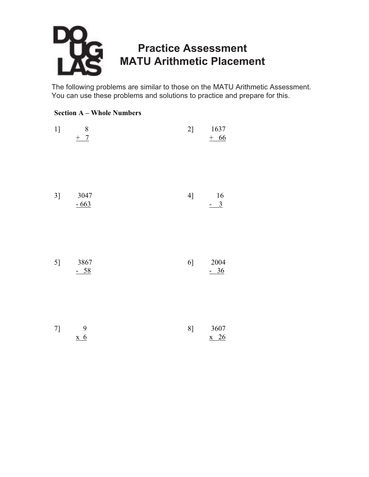# **Practice Assessment** MATH Arithmotic Placemon **MATU Arithmetic Placement**

The following problems are similar to those on the MATU Arithmetic Assessment. You can use these problems and solutions to practice and prepare for this.

### **Section A – Whole Numbers**

| 1] | 8<br>$+$ 7     | 2] | 1637<br>$+66$        |
|----|----------------|----|----------------------|
| 3] | 3047<br>$-663$ | 4] | 16<br>$\frac{-3}{2}$ |
| 5] | 3867<br>$-58$  | 6] | 2004<br>$-36$        |

| 7] |                    | 81 | 3607         |
|----|--------------------|----|--------------|
|    | $\boldsymbol{x}$ 6 |    | $x \quad 26$ |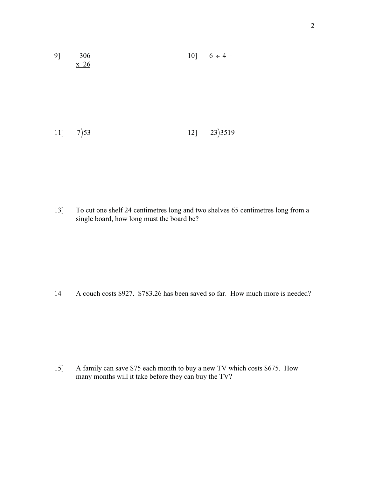| 91  | 306<br>$x\overline{26}$ | 10] $6 \div 4 =$ |
|-----|-------------------------|------------------|
|     |                         |                  |
| 11] | $7\overline{)53}$       | 12] $23)3519$    |

13] To cut one shelf 24 centimetres long and two shelves 65 centimetres long from a single board, how long must the board be?

14] A couch costs \$927. \$783.26 has been saved so far. How much more is needed?

15] A family can save \$75 each month to buy a new TV which costs \$675. How many months will it take before they can buy the TV?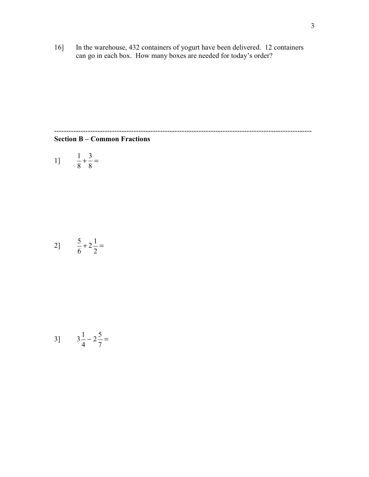16] In the warehouse, 432 containers of yogurt have been delivered. 12 containers can go in each box. How many boxes are needed for today's order?

-----------------------------------------------------------------------------------------------------------

### **Section B – Common Fractions**

11 
$$
\frac{1}{8} + \frac{3}{8} =
$$

$$
2\frac{5}{6} + 2\frac{1}{2} =
$$

3] 
$$
3\frac{1}{4} - 2\frac{5}{7} =
$$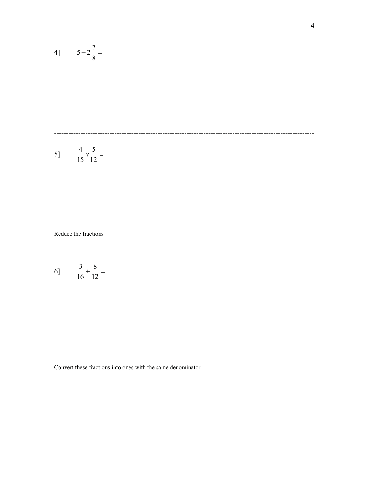$$
4 \quad 5 - 2\frac{7}{8} =
$$

$$
5] \qquad \frac{4}{15}x\frac{5}{12} =
$$

#### Reduce the fractions

6] 
$$
\frac{3}{16} + \frac{8}{12} =
$$

Convert these fractions into ones with the same denominator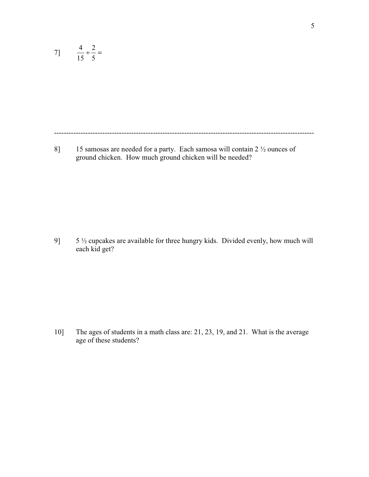7] 
$$
\frac{4}{15} \div \frac{2}{5} =
$$

------------------------------------------------------------------------------------------------------------

8] 15 samosas are needed for a party. Each samosa will contain 2  $\frac{1}{2}$  ounces of ground chicken. How much ground chicken will be needed?

9] 5 ½ cupcakes are available for three hungry kids. Divided evenly, how much will each kid get?

10] The ages of students in a math class are: 21, 23, 19, and 21. What is the average age of these students?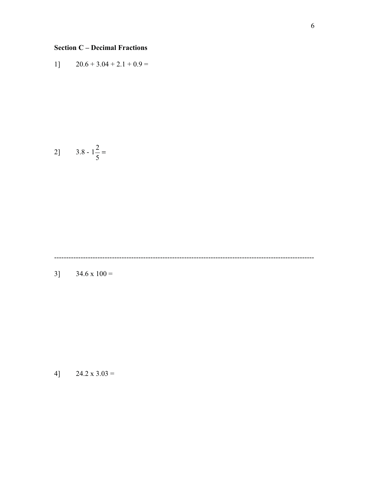## **Section C – Decimal Fractions**

$$
1] \qquad 20.6 + 3.04 + 2.1 + 0.9 =
$$

$$
2 \quad 3.8 - 1 \frac{2}{5} =
$$

------------------------------------------------------------------------------------------------------------

3]  $34.6 \times 100 =$ 

4] 24.2 x  $3.03 =$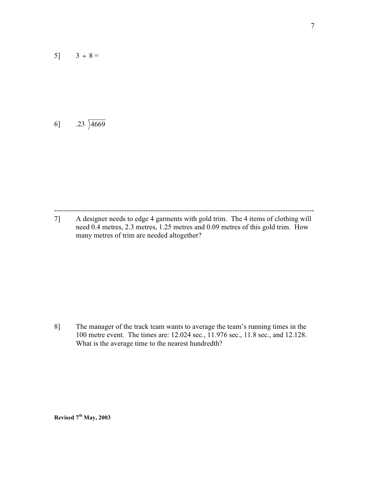5]  $3 \div 8 =$ 

# 6]  $.23\overline{)4669}$

------------------------------------------------------------------------------------------------------------ 7] A designer needs to edge 4 garments with gold trim. The 4 items of clothing will need 0.4 metres, 2.3 metres, 1.25 metres and 0.09 metres of this gold trim. How many metres of trim are needed altogether?

8] The manager of the track team wants to average the team's running times in the 100 metre event. The times are: 12.024 sec., 11.976 sec., 11.8 sec., and 12.128. What is the average time to the nearest hundredth?

**Revised 7th May, 2003**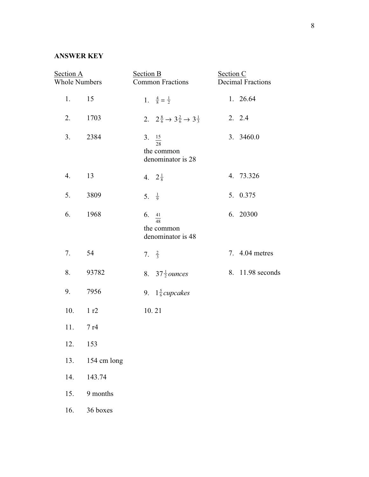### **ANSWER KEY**

| Section A<br><b>Whole Numbers</b> |             | <b>Section B</b><br><b>Common Fractions</b> |                                                                     | Section C<br><b>Decimal Fractions</b> |                  |
|-----------------------------------|-------------|---------------------------------------------|---------------------------------------------------------------------|---------------------------------------|------------------|
| 1.                                | 15          |                                             | 1. $\frac{4}{8} = \frac{1}{2}$                                      |                                       | 1. 26.64         |
| 2.                                | 1703        |                                             | 2. $2\frac{8}{6} \rightarrow 3\frac{2}{6} \rightarrow 3\frac{1}{3}$ |                                       | 2. 2.4           |
| 3.                                | 2384        |                                             | 3. $\frac{15}{28}$<br>the common<br>denominator is 28               |                                       | 3. 3460.0        |
| 4.                                | 13          |                                             | 4. $2\frac{1}{8}$                                                   |                                       | 4. 73.326        |
| 5.                                | 3809        |                                             | 5. $\frac{1}{9}$                                                    |                                       | 5. 0.375         |
| 6.                                | 1968        |                                             | 6. $\frac{41}{48}$<br>the common<br>denominator is 48               |                                       | 6. 20300         |
| 7.                                | 54          |                                             | 7. $\frac{2}{3}$                                                    |                                       | 7. 4.04 metres   |
| 8.                                | 93782       |                                             | 8. $37\frac{1}{2}$ ounces                                           |                                       | 8. 11.98 seconds |
| 9.                                | 7956        |                                             | 9. $1\frac{5}{6}$ cupcakes                                          |                                       |                  |
| 10.                               | 1 r2        |                                             | 10.21                                                               |                                       |                  |
| 11.                               | 7r4         |                                             |                                                                     |                                       |                  |
| 12.                               | 153         |                                             |                                                                     |                                       |                  |
| 13.                               | 154 cm long |                                             |                                                                     |                                       |                  |
| 14.                               | 143.74      |                                             |                                                                     |                                       |                  |
| 15.                               | 9 months    |                                             |                                                                     |                                       |                  |
| 16.                               | 36 boxes    |                                             |                                                                     |                                       |                  |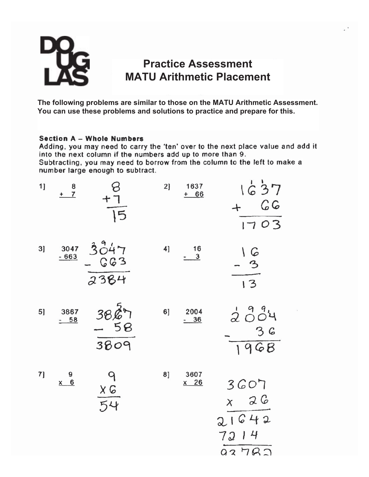

# **Practice Assessment MATU Arithmetic Placement**

**The following problems are similar to those on the MATU Arithmetic Assessment. You can use these problems and solutions to practice and prepare for this.**

### **Section A - Whole Numbers**

Adding, you may need to carry the 'ten' over to the next place value and add it into the next column if the numbers add up to more than 9.

Subtracting, you may need to borrow from the column to the left to make a number large enough to subtract.

| 1] | $rac{8}{1}$       | $8 + 7$<br>$\overline{15}$ | 2] | 1637<br>$+ 66$ | 1637<br>C G<br>$+$<br>1703                     |
|----|-------------------|----------------------------|----|----------------|------------------------------------------------|
| 3] | $3047 - 663$      | $3047$<br>- 663<br>2384    | 4] | $\frac{16}{3}$ | $\frac{16}{-3}$<br>$\frac{1}{13}$              |
| 5] | 3867<br>$-58$     | $\frac{3827}{3809}$        | 6] | 2004<br>$-36$  | 2004<br>36<br>1968                             |
| 7] | $x = \frac{9}{6}$ | $rac{9}{54}$               | 8] | 3607<br>$x$ 26 | 3607<br>$x \quad 26$<br>21642<br>7214<br>92782 |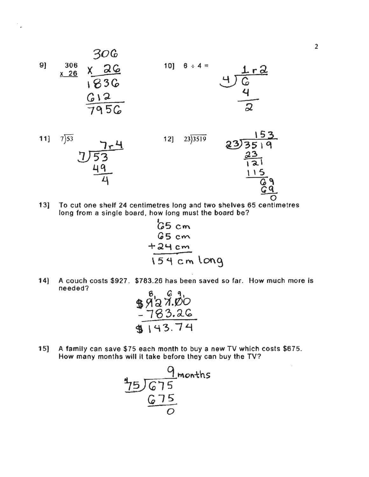

$$
\frac{11}{\sqrt[7]{53}}\n \frac{7}{\sqrt[7]{53}}\n \frac{7}{49}
$$

 $7 - 4$ 



To cut one shelf 24 centimetres long and two shelves 65 centimetres  $13]$ long from a single board, how long must the board be?

 $12]$ 

$$
65 cm\n65 cm\n+24 cm\n154 cm long
$$

 $14]$ A couch costs \$927. \$783.26 has been saved so far. How much more is needed?  $\sim$   $\sim$ 

$$
\frac{\frac{3}{2}999900}{183.26}
$$
\n
$$
\frac{-783.26}{143.74}
$$

 $15$ ] A family can save \$75 each month to buy a new TV which costs \$675. How many months will it take before they can buy the TV?

$$
\frac{9}{25}
$$
675 months  
675  
675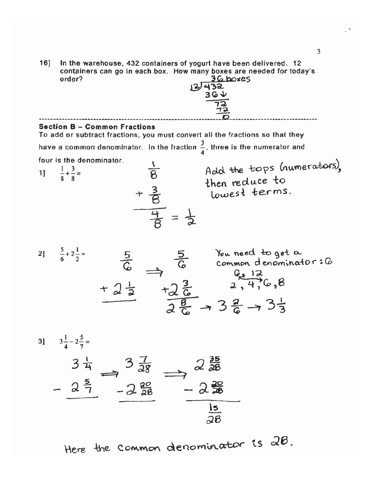In the warehouse, 432 containers of yogurt have been delivered. 12<br>containers can go in each box. How many boxes are needed for today's  $16]$  $36$  boxes order?  $12/432$ 

|                                                                                                                      | $\frac{12}{12}$                                                                                                                                                |  |  |  |
|----------------------------------------------------------------------------------------------------------------------|----------------------------------------------------------------------------------------------------------------------------------------------------------------|--|--|--|
| <b>Section B - Common Fractions</b><br>To add or subtract fractions, you must convert all the fractions so that they |                                                                                                                                                                |  |  |  |
|                                                                                                                      | have a common denominator. In the fraction $\frac{3}{4}$ , three is the numerator and                                                                          |  |  |  |
| four is the denominator.<br>1] $\frac{1}{8} + \frac{3}{8} =$                                                         | Add the tops (numerators),<br>$rac{1}{8}$<br>then reduce to<br>$+\frac{3}{8}$<br>lowest terms.<br>$\frac{4}{6} = \frac{1}{2}$                                  |  |  |  |
| 2] $\frac{5}{6} + 2\frac{1}{2} =$                                                                                    | $\frac{5}{6}$ $\Rightarrow$ $\frac{5}{6}$ You need to get a<br>$+2\frac{1}{2}$ $+2\frac{3}{6}$ $+2\frac{3}{6}$ $+3\frac{2}{6}$ $+3\frac{3}{6}$ $+3\frac{1}{3}$ |  |  |  |
| 3] $3\frac{1}{4}-2\frac{5}{7}=$                                                                                      |                                                                                                                                                                |  |  |  |
|                                                                                                                      |                                                                                                                                                                |  |  |  |
| $3\frac{1}{4}$<br>$2\frac{5}{7}$                                                                                     | $\Rightarrow 2\frac{35}{28}$<br>-2 $\frac{2}{36}$<br>$3\frac{3}{28}$<br>$-2\frac{2}{28}$<br>$rac{15}{28}$                                                      |  |  |  |
|                                                                                                                      |                                                                                                                                                                |  |  |  |

Here the Common denominator is 28.

 $\overline{3}$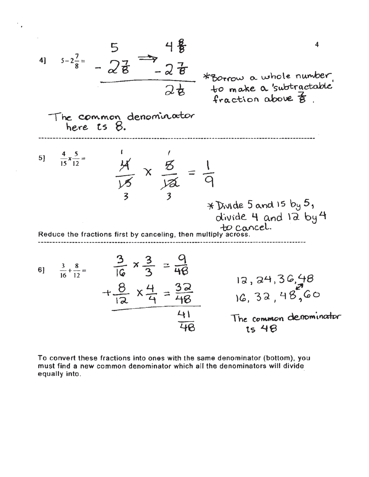

To convert these fractions into ones with the same denominator (bottom), you must find a new common denominator which all the denominators will divide equally into.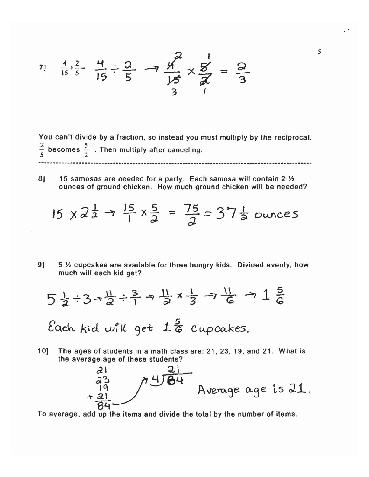$$
\frac{4}{15} + \frac{2}{5} = \frac{11}{15} \div \frac{2}{5} \implies \frac{11}{15} \times \frac{5}{7} = \frac{2}{3}
$$

You can't divide by a fraction, so instead you must multiply by the reciprocal.  $\frac{2}{5}$  becomes  $\frac{5}{2}$ . Then multiply after canceling.

8] 15 samosas are needed for a party. Each samosa will contain 2 1/2 ounces of ground chicken. How much ground chicken will be needed?

$$
15 \times 2^{\frac{1}{2}} \rightarrow \frac{15}{1} \times \frac{5}{2} = \frac{75}{2} = 37^{\frac{1}{2}}
$$
 ounces

9] 5 1/2 cupcakes are available for three hungry kids. Divided evenly, how much will each kid get?

$$
5\frac{1}{2} \div 3 \rightarrow \frac{11}{2} \div \frac{3}{1} \rightarrow \frac{11}{2} \times \frac{1}{3} \rightarrow \frac{11}{6} \rightarrow 1\frac{5}{6}
$$

Each kid will get  $1\frac{5}{6}$  cupcakes.

 $10$ The ages of students in a math class are: 21, 23, 19, and 21. What is the average age of these students?



To average, add up the items and divide the total by the number of items.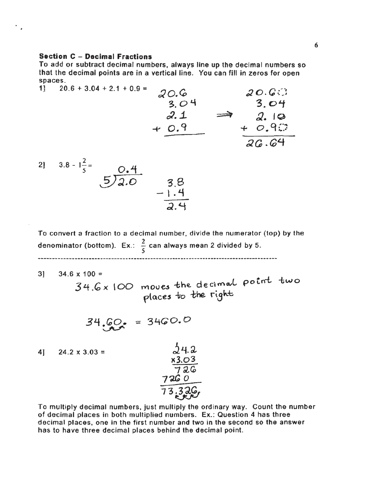#### **Section C - Decimal Fractions**

 $\overline{a}$ 

To add or subtract decimal numbers, always line up the decimal numbers so that the decimal points are in a vertical line. You can fill in zeros for open spaces.

 $20.6 + 3.04 + 2.1 + 0.9 =$ 11  $20.6$  $20.6$  $3.04$  $3.04$  $2.1$  $\Rightarrow$  2.10<br>+ 0.90<br>26.64  $+0.9$ 

$$
2! \quad 3.8 - 1\frac{2}{5} = 5 \overline{\smash)2.0} \qquad 3.8 - 1.4 = 5 \overline{\smash)2.4}
$$

To convert a fraction to a decimal number, divide the numerator (top) by the denominator (bottom). Ex.:  $\frac{2}{5}$  can always mean 2 divided by 5.

31  $34.6 \times 100 =$ 

34.6x100 moves the decimal point two<br>places to the right

 $24.2$ 

$$
34.60 = 3460.0
$$

4]  $24.2 \times 3.03 =$  $x3.03$ <br>  $726$ <br>  $726$ <br>  $73.326$ 

To multiply decimal numbers, just multiply the ordinary way. Count the number of decimal places in both multiplied numbers. Ex.: Question 4 has three decimal places, one in the first number and two in the second so the answer has to have three decimal places behind the decimal point.